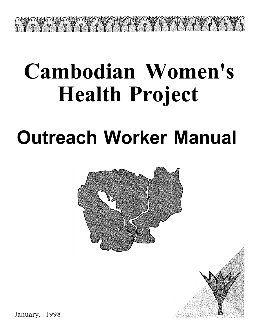# **Cambodian Women's Health Project**

ACAN ANY CARLO AND AND ANY CARLO AND

# **Outreach Worker Manual**



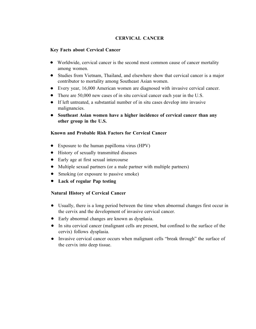## **CERVICAL CANCER**

### **Key Facts about Cervical Cancer**

- Worldwide, cervical cancer is the second most common cause of cancer mortality among women.
- Studies from Vietnam, Thailand, and elsewhere show that cervical cancer is a major contributor to mortality among Southeast Asian women.
- Every year, 16,000 American women are diagnosed with invasive cervical cancer.
- There are 50,000 new cases of in situ cervical cancer each year in the U.S.
- If left untreated, a substantial number of in situ cases develop into invasive malignancies.
- **Southeast Asian women have a higher incidence of cervical cancer than any other group in the U.S.**

### **Known and Probable Risk Factors for Cervical Cancer**

- Exposure to the human papilloma virus (HPV)
- History of sexually transmitted diseases
- Early age at first sexual intercourse
- Multiple sexual partners (or a male partner with multiple partners)
- Smoking (or exposure to passive smoke)
- **Lack of regular Pap testing**

#### **Natural History of Cervical Cancer**

- Usually, there is a long period between the time when abnormal changes first occur in the cervix and the development of invasive cervical cancer.
- Early abnormal changes are known as dysplasia.
- In situ cervical cancer (malignant cells are present, but confined to the surface of the cervix) follows dysplasia.
- Invasive cervical cancer occurs when malignant cells "break through" the surface of the cervix into deep tissue.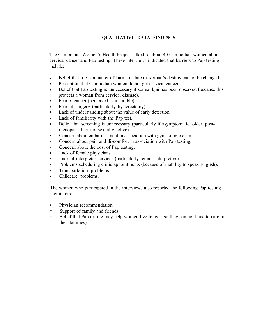# **QUALITATIVE DATA FINDINGS**

The Cambodian Women's Health Project talked to about 40 Cambodian women about cervical cancer and Pap testing. These interviews indicated that barriers to Pap testing include:

- Belief that life is a matter of karma or fate (a woman's destiny cannot be changed).
- Perception that Cambodian women do not get cervical cancer.
- Belief that Pap testing is unnecessary if sor sai kjai has been observed (because this protects a woman from cervical disease).
- Fear of cancer (perceived as incurable).
- Fear of surgery (particularly hysterectomy).
- Lack of understanding about the value of early detection.
- Lack of familiarity with the Pap test.
- Belief that screening is unnecessary (particularly if asymptomatic, older, postmenopausal, or not sexually active).
- Concern about embarrassment in association with gynecologic exams.
- Concern about pain and discomfort in association with Pap testing.
- Concern about the cost of Pap testing.
- Lack of female physicians.
- Lack of interpreter services (particularly female interpreters).
- Problems scheduling clinic appointments (because of inability to speak English).
- Transportation problems.
- Childcare problems.

The women who participated in the interviews also reported the following Pap testing facilitators:

- Physician recommendation.
- Support of family and friends.
- Belief that Pap testing may help women live longer (so they can continue to care of their families).